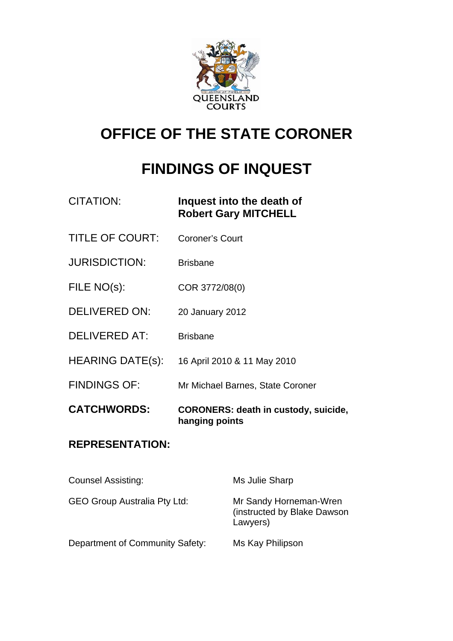

# **OFFICE OF THE STATE CORONER**

# **FINDINGS OF INQUEST**

| <b>CITATION:</b>        | Inquest into the death of<br><b>Robert Gary MITCHELL</b>      |
|-------------------------|---------------------------------------------------------------|
| <b>TITLE OF COURT:</b>  | <b>Coroner's Court</b>                                        |
| <b>JURISDICTION:</b>    | <b>Brisbane</b>                                               |
| FILE NO(s):             | COR 3772/08(0)                                                |
| DELIVERED ON:           | 20 January 2012                                               |
| <b>DELIVERED AT:</b>    | <b>Brisbane</b>                                               |
| <b>HEARING DATE(s):</b> | 16 April 2010 & 11 May 2010                                   |
| <b>FINDINGS OF:</b>     | Mr Michael Barnes, State Coroner                              |
| <b>CATCHWORDS:</b>      | <b>CORONERS: death in custody, suicide,</b><br>hanging points |
|                         |                                                               |

## **REPRESENTATION:**

| <b>Counsel Assisting:</b>           | Ms Julie Sharp                                                     |
|-------------------------------------|--------------------------------------------------------------------|
| <b>GEO Group Australia Pty Ltd:</b> | Mr Sandy Horneman-Wren<br>(instructed by Blake Dawson)<br>Lawyers) |
| Department of Community Safety:     | Ms Kay Philipson                                                   |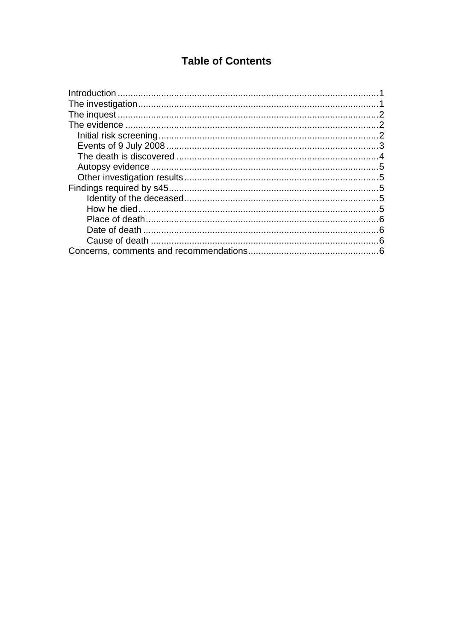## **Table of Contents**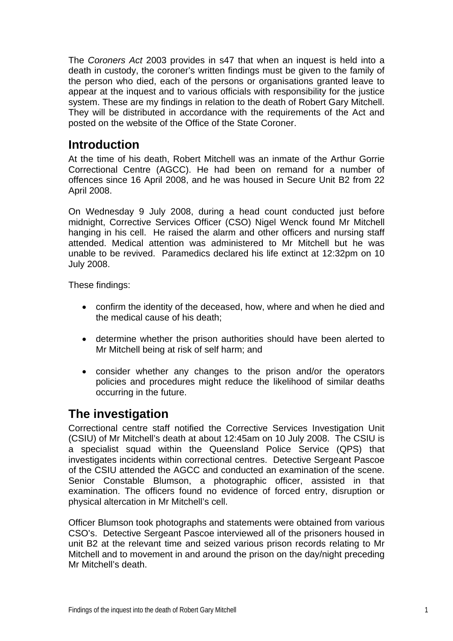<span id="page-2-0"></span>The *Coroners Act* 2003 provides in s47 that when an inquest is held into a death in custody, the coroner's written findings must be given to the family of the person who died, each of the persons or organisations granted leave to appear at the inquest and to various officials with responsibility for the justice system. These are my findings in relation to the death of Robert Gary Mitchell. They will be distributed in accordance with the requirements of the Act and posted on the website of the Office of the State Coroner.

## **Introduction**

At the time of his death, Robert Mitchell was an inmate of the Arthur Gorrie Correctional Centre (AGCC). He had been on remand for a number of offences since 16 April 2008, and he was housed in Secure Unit B2 from 22 April 2008.

On Wednesday 9 July 2008, during a head count conducted just before midnight, Corrective Services Officer (CSO) Nigel Wenck found Mr Mitchell hanging in his cell. He raised the alarm and other officers and nursing staff attended. Medical attention was administered to Mr Mitchell but he was unable to be revived. Paramedics declared his life extinct at 12:32pm on 10 July 2008.

These findings:

- confirm the identity of the deceased, how, where and when he died and the medical cause of his death;
- determine whether the prison authorities should have been alerted to Mr Mitchell being at risk of self harm; and
- consider whether any changes to the prison and/or the operators policies and procedures might reduce the likelihood of similar deaths occurring in the future.

## **The investigation**

Correctional centre staff notified the Corrective Services Investigation Unit (CSIU) of Mr Mitchell's death at about 12:45am on 10 July 2008. The CSIU is a specialist squad within the Queensland Police Service (QPS) that investigates incidents within correctional centres. Detective Sergeant Pascoe of the CSIU attended the AGCC and conducted an examination of the scene. Senior Constable Blumson, a photographic officer, assisted in that examination. The officers found no evidence of forced entry, disruption or physical altercation in Mr Mitchell's cell.

Officer Blumson took photographs and statements were obtained from various CSO's. Detective Sergeant Pascoe interviewed all of the prisoners housed in unit B2 at the relevant time and seized various prison records relating to Mr Mitchell and to movement in and around the prison on the day/night preceding Mr Mitchell's death.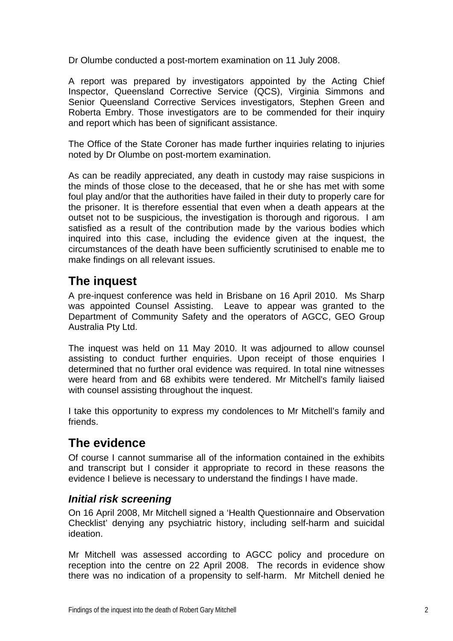<span id="page-3-0"></span>Dr Olumbe conducted a post-mortem examination on 11 July 2008.

A report was prepared by investigators appointed by the Acting Chief Inspector, Queensland Corrective Service (QCS), Virginia Simmons and Senior Queensland Corrective Services investigators, Stephen Green and Roberta Embry. Those investigators are to be commended for their inquiry and report which has been of significant assistance.

The Office of the State Coroner has made further inquiries relating to injuries noted by Dr Olumbe on post-mortem examination.

As can be readily appreciated, any death in custody may raise suspicions in the minds of those close to the deceased, that he or she has met with some foul play and/or that the authorities have failed in their duty to properly care for the prisoner. It is therefore essential that even when a death appears at the outset not to be suspicious, the investigation is thorough and rigorous. I am satisfied as a result of the contribution made by the various bodies which inquired into this case, including the evidence given at the inquest, the circumstances of the death have been sufficiently scrutinised to enable me to make findings on all relevant issues.

# **The inquest**

A pre-inquest conference was held in Brisbane on 16 April 2010. Ms Sharp was appointed Counsel Assisting. Leave to appear was granted to the Department of Community Safety and the operators of AGCC, GEO Group Australia Pty Ltd.

The inquest was held on 11 May 2010. It was adjourned to allow counsel assisting to conduct further enquiries. Upon receipt of those enquiries I determined that no further oral evidence was required. In total nine witnesses were heard from and 68 exhibits were tendered. Mr Mitchell's family liaised with counsel assisting throughout the inquest.

I take this opportunity to express my condolences to Mr Mitchell's family and friends.

# **The evidence**

Of course I cannot summarise all of the information contained in the exhibits and transcript but I consider it appropriate to record in these reasons the evidence I believe is necessary to understand the findings I have made.

### *Initial risk screening*

On 16 April 2008, Mr Mitchell signed a 'Health Questionnaire and Observation Checklist' denying any psychiatric history, including self-harm and suicidal ideation.

Mr Mitchell was assessed according to AGCC policy and procedure on reception into the centre on 22 April 2008. The records in evidence show there was no indication of a propensity to self-harm. Mr Mitchell denied he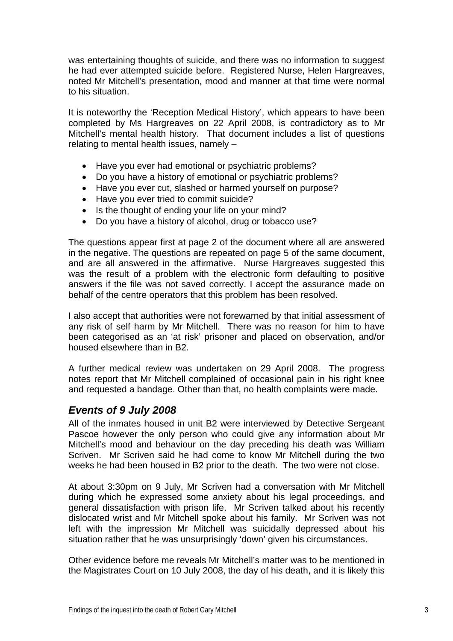<span id="page-4-0"></span>was entertaining thoughts of suicide, and there was no information to suggest he had ever attempted suicide before. Registered Nurse, Helen Hargreaves, noted Mr Mitchell's presentation, mood and manner at that time were normal to his situation.

It is noteworthy the 'Reception Medical History', which appears to have been completed by Ms Hargreaves on 22 April 2008, is contradictory as to Mr Mitchell's mental health history. That document includes a list of questions relating to mental health issues, namely –

- Have you ever had emotional or psychiatric problems?
- Do you have a history of emotional or psychiatric problems?
- Have you ever cut, slashed or harmed yourself on purpose?
- Have you ever tried to commit suicide?
- Is the thought of ending your life on your mind?
- Do you have a history of alcohol, drug or tobacco use?

The questions appear first at page 2 of the document where all are answered in the negative. The questions are repeated on page 5 of the same document, and are all answered in the affirmative. Nurse Hargreaves suggested this was the result of a problem with the electronic form defaulting to positive answers if the file was not saved correctly. I accept the assurance made on behalf of the centre operators that this problem has been resolved.

I also accept that authorities were not forewarned by that initial assessment of any risk of self harm by Mr Mitchell. There was no reason for him to have been categorised as an 'at risk' prisoner and placed on observation, and/or housed elsewhere than in B2.

A further medical review was undertaken on 29 April 2008. The progress notes report that Mr Mitchell complained of occasional pain in his right knee and requested a bandage. Other than that, no health complaints were made.

#### *Events of 9 July 2008*

All of the inmates housed in unit B2 were interviewed by Detective Sergeant Pascoe however the only person who could give any information about Mr Mitchell's mood and behaviour on the day preceding his death was William Scriven. Mr Scriven said he had come to know Mr Mitchell during the two weeks he had been housed in B2 prior to the death. The two were not close.

At about 3:30pm on 9 July, Mr Scriven had a conversation with Mr Mitchell during which he expressed some anxiety about his legal proceedings, and general dissatisfaction with prison life. Mr Scriven talked about his recently dislocated wrist and Mr Mitchell spoke about his family. Mr Scriven was not left with the impression Mr Mitchell was suicidally depressed about his situation rather that he was unsurprisingly 'down' given his circumstances.

Other evidence before me reveals Mr Mitchell's matter was to be mentioned in the Magistrates Court on 10 July 2008, the day of his death, and it is likely this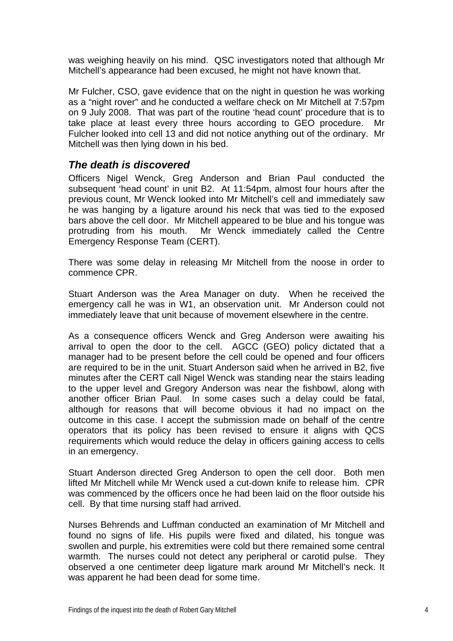<span id="page-5-0"></span>was weighing heavily on his mind. QSC investigators noted that although Mr Mitchell's appearance had been excused, he might not have known that.

Mr Fulcher, CSO, gave evidence that on the night in question he was working as a "night rover" and he conducted a welfare check on Mr Mitchell at 7:57pm on 9 July 2008. That was part of the routine 'head count' procedure that is to take place at least every three hours according to GEO procedure. Mr Fulcher looked into cell 13 and did not notice anything out of the ordinary. Mr Mitchell was then lying down in his bed.

#### *The death is discovered*

Officers Nigel Wenck, Greg Anderson and Brian Paul conducted the subsequent 'head count' in unit B2. At 11:54pm, almost four hours after the previous count, Mr Wenck looked into Mr Mitchell's cell and immediately saw he was hanging by a ligature around his neck that was tied to the exposed bars above the cell door. Mr Mitchell appeared to be blue and his tongue was protruding from his mouth. Mr Wenck immediately called the Centre Emergency Response Team (CERT).

There was some delay in releasing Mr Mitchell from the noose in order to commence CPR.

Stuart Anderson was the Area Manager on duty. When he received the emergency call he was in W1, an observation unit. Mr Anderson could not immediately leave that unit because of movement elsewhere in the centre.

As a consequence officers Wenck and Greg Anderson were awaiting his arrival to open the door to the cell. AGCC (GEO) policy dictated that a manager had to be present before the cell could be opened and four officers are required to be in the unit. Stuart Anderson said when he arrived in B2, five minutes after the CERT call Nigel Wenck was standing near the stairs leading to the upper level and Gregory Anderson was near the fishbowl, along with another officer Brian Paul. In some cases such a delay could be fatal, although for reasons that will become obvious it had no impact on the outcome in this case. I accept the submission made on behalf of the centre operators that its policy has been revised to ensure it aligns with QCS requirements which would reduce the delay in officers gaining access to cells in an emergency.

Stuart Anderson directed Greg Anderson to open the cell door. Both men lifted Mr Mitchell while Mr Wenck used a cut-down knife to release him. CPR was commenced by the officers once he had been laid on the floor outside his cell. By that time nursing staff had arrived.

Nurses Behrends and Luffman conducted an examination of Mr Mitchell and found no signs of life. His pupils were fixed and dilated, his tongue was swollen and purple, his extremities were cold but there remained some central warmth. The nurses could not detect any peripheral or carotid pulse. They observed a one centimeter deep ligature mark around Mr Mitchell's neck. It was apparent he had been dead for some time.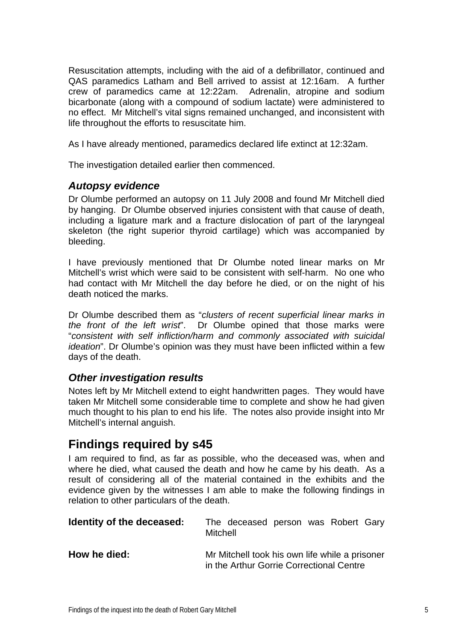<span id="page-6-0"></span>Resuscitation attempts, including with the aid of a defibrillator, continued and QAS paramedics Latham and Bell arrived to assist at 12:16am. A further crew of paramedics came at 12:22am. Adrenalin, atropine and sodium bicarbonate (along with a compound of sodium lactate) were administered to no effect. Mr Mitchell's vital signs remained unchanged, and inconsistent with life throughout the efforts to resuscitate him.

As I have already mentioned, paramedics declared life extinct at 12:32am.

The investigation detailed earlier then commenced.

### *Autopsy evidence*

Dr Olumbe performed an autopsy on 11 July 2008 and found Mr Mitchell died by hanging. Dr Olumbe observed injuries consistent with that cause of death, including a ligature mark and a fracture dislocation of part of the laryngeal skeleton (the right superior thyroid cartilage) which was accompanied by bleeding.

I have previously mentioned that Dr Olumbe noted linear marks on Mr Mitchell's wrist which were said to be consistent with self-harm. No one who had contact with Mr Mitchell the day before he died, or on the night of his death noticed the marks.

Dr Olumbe described them as "*clusters of recent superficial linear marks in the front of the left wrist*". Dr Olumbe opined that those marks were "*consistent with self infliction/harm and commonly associated with suicidal ideation*". Dr Olumbe's opinion was they must have been inflicted within a few days of the death.

### *Other investigation results*

Notes left by Mr Mitchell extend to eight handwritten pages. They would have taken Mr Mitchell some considerable time to complete and show he had given much thought to his plan to end his life. The notes also provide insight into Mr Mitchell's internal anguish.

## **Findings required by s45**

I am required to find, as far as possible, who the deceased was, when and where he died, what caused the death and how he came by his death. As a result of considering all of the material contained in the exhibits and the evidence given by the witnesses I am able to make the following findings in relation to other particulars of the death.

| Identity of the deceased: | The deceased person was Robert Gary<br>Mitchell                                            |
|---------------------------|--------------------------------------------------------------------------------------------|
| How he died:              | Mr Mitchell took his own life while a prisoner<br>in the Arthur Gorrie Correctional Centre |